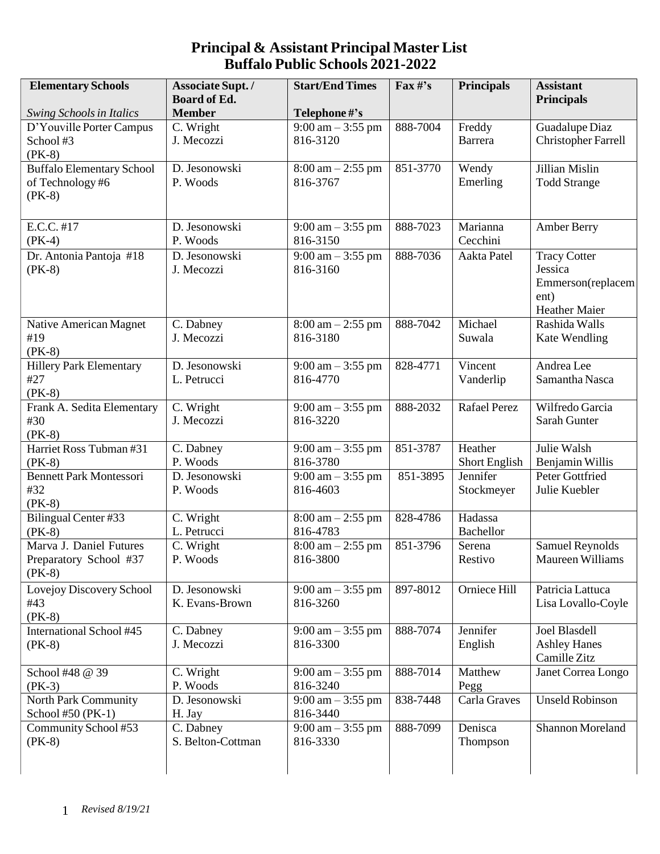| <b>Elementary Schools</b>        | Associate Supt./<br>Board of Ed. | <b>Start/End Times</b>              | $\Gamma$ ax#'s | <b>Principals</b>   | <b>Assistant</b>           |
|----------------------------------|----------------------------------|-------------------------------------|----------------|---------------------|----------------------------|
| <b>Swing Schools in Italics</b>  | <b>Member</b>                    | Telephone #'s                       |                |                     | <b>Principals</b>          |
| D'Youville Porter Campus         | $\overline{C}$ . Wright          | $9:00$ am $-3:55$ pm                | 888-7004       | Freddy              | Guadalupe Diaz             |
| School#3                         | J. Mecozzi                       | 816-3120                            |                | Barrera             | <b>Christopher Farrell</b> |
| $(PK-8)$                         |                                  |                                     |                |                     |                            |
| <b>Buffalo Elementary School</b> | D. Jesonowski                    | $8:00$ am $-2:55$ pm                | 851-3770       | Wendy               | Jillian Mislin             |
| of Technology#6                  | P. Woods                         | 816-3767                            |                | Emerling            | <b>Todd Strange</b>        |
| $(PK-8)$                         |                                  |                                     |                |                     |                            |
|                                  |                                  |                                     |                |                     |                            |
| E.C.C. #17                       | D. Jesonowski                    | $9:00 \text{ am} - 3:55 \text{ pm}$ | 888-7023       | Marianna            | <b>Amber Berry</b>         |
| $(PK-4)$                         | P. Woods                         | 816-3150                            |                | Cecchini            |                            |
|                                  |                                  |                                     |                |                     |                            |
| Dr. Antonia Pantoja #18          | D. Jesonowski                    | $9:00 \text{ am} - 3:55 \text{ pm}$ | 888-7036       | Aakta Patel         | <b>Tracy Cotter</b>        |
| $(PK-8)$                         | J. Mecozzi                       | 816-3160                            |                |                     | Jessica                    |
|                                  |                                  |                                     |                |                     | Emmerson(replacem<br>ent)  |
|                                  |                                  |                                     |                |                     | Heather Maier              |
| Native American Magnet           | C. Dabney                        | $8:00 \text{ am} - 2:55 \text{ pm}$ | 888-7042       | Michael             | Rashida Walls              |
| #19                              | J. Mecozzi                       | 816-3180                            |                | Suwala              | <b>Kate Wendling</b>       |
| $(PK-8)$                         |                                  |                                     |                |                     |                            |
| <b>Hillery Park Elementary</b>   | D. Jesonowski                    | $9:00 \text{ am} - 3:55 \text{ pm}$ | 828-4771       | Vincent             | Andrea Lee                 |
| #27                              | L. Petrucci                      | 816-4770                            |                | Vanderlip           | Samantha Nasca             |
| $(PK-8)$                         |                                  |                                     |                |                     |                            |
| Frank A. Sedita Elementary       | C. Wright                        | $9:00 \text{ am} - 3:55 \text{ pm}$ | 888-2032       | <b>Rafael Perez</b> | Wilfredo Garcia            |
| #30                              | J. Mecozzi                       | 816-3220                            |                |                     | Sarah Gunter               |
| $(PK-8)$                         |                                  |                                     |                |                     |                            |
| Harriet Ross Tubman #31          | C. Dabney                        | $9:00 \text{ am} - 3:55 \text{ pm}$ | 851-3787       | Heather             | Julie Walsh                |
| $(PK-8)$                         | P. Woods                         | 816-3780                            |                | Short English       | Benjamin Willis            |
| <b>Bennett Park Montessori</b>   | D. Jesonowski                    | $9:00 \text{ am} - 3:55 \text{ pm}$ | 851-3895       | Jennifer            | Peter Gottfried            |
| #32                              | P. Woods                         | 816-4603                            |                | Stockmeyer          | Julie Kuebler              |
| $(PK-8)$                         |                                  |                                     |                |                     |                            |
| Bilingual Center #33             | C. Wright                        | $8:00$ am $-2:55$ pm                | 828-4786       | Hadassa             |                            |
| $(PK-8)$                         | L. Petrucci                      | 816-4783                            |                | Bachellor           |                            |
| Marva J. Daniel Futures          | $\overline{C}$ . Wright          | $8:00 \text{ am} - 2:55 \text{ pm}$ | 851-3796       | Serena              | <b>Samuel Reynolds</b>     |
| Preparatory School #37           | P. Woods                         | 816-3800                            |                | Restivo             | Maureen Williams           |
| $(PK-8)$                         |                                  |                                     |                |                     |                            |
| Lovejoy Discovery School         | D. Jesonowski                    | $9:00 \text{ am} - 3:55 \text{ pm}$ | 897-8012       | Orniece Hill        | Patricia Lattuca           |
| #43                              | K. Evans-Brown                   | 816-3260                            |                |                     | Lisa Lovallo-Coyle         |
| $(PK-8)$                         |                                  |                                     |                |                     |                            |
| <b>International School #45</b>  | C. Dabney                        | $9:00 \text{ am} - 3:55 \text{ pm}$ | 888-7074       | Jennifer            | Joel Blasdell              |
| $(PK-8)$                         | J. Mecozzi                       | 816-3300                            |                | English             | <b>Ashley Hanes</b>        |
|                                  |                                  |                                     |                |                     | Camille Zitz               |
| School #48 @ 39                  | C. Wright                        | $9:00 \text{ am} - 3:55 \text{ pm}$ | 888-7014       | Matthew             | Janet Correa Longo         |
| $(PK-3)$                         | P. Woods                         | 816-3240                            |                | Pegg                |                            |
| North Park Community             | D. Jesonowski                    | $9:00 \text{ am} - 3:55 \text{ pm}$ | 838-7448       | Carla Graves        | <b>Unseld Robinson</b>     |
| School #50 (PK-1)                | H. Jay                           | 816-3440                            |                |                     |                            |
| Community School #53             | C. Dabney                        | $9:00 \text{ am} - 3:55 \text{ pm}$ | 888-7099       | Denisca             | Shannon Moreland           |
| $(PK-8)$                         | S. Belton-Cottman                | 816-3330                            |                | Thompson            |                            |
|                                  |                                  |                                     |                |                     |                            |
|                                  |                                  |                                     |                |                     |                            |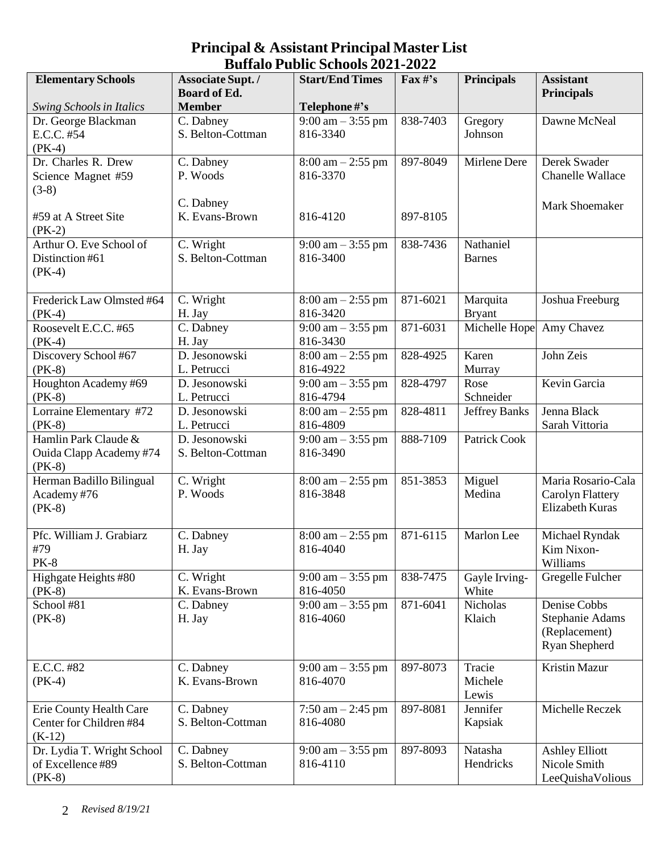| <b>Elementary Schools</b>                                     | Associate Supt./<br><b>Board of Ed.</b> | <b>Start/End Times</b>                          | $\text{Fax}\,\text{\#}^{\text{!`}}\text{s}$ | <b>Principals</b>          | <b>Assistant</b><br><b>Principals</b>                                    |
|---------------------------------------------------------------|-----------------------------------------|-------------------------------------------------|---------------------------------------------|----------------------------|--------------------------------------------------------------------------|
| <b>Swing Schools in Italics</b>                               | <b>Member</b>                           | Telephone #'s                                   |                                             |                            |                                                                          |
| Dr. George Blackman<br>E.C.C. #54<br>$(PK-4)$                 | C. Dabney<br>S. Belton-Cottman          | $9:00 \text{ am} - 3:55 \text{ pm}$<br>816-3340 | 838-7403                                    | Gregory<br>Johnson         | Dawne McNeal                                                             |
| Dr. Charles R. Drew<br>Science Magnet #59<br>$(3-8)$          | C. Dabney<br>P. Woods                   | $8:00 \text{ am} - 2:55 \text{ pm}$<br>816-3370 | 897-8049                                    | Mirlene Dere               | Derek Swader<br><b>Chanelle Wallace</b>                                  |
| #59 at A Street Site<br>$(PK-2)$                              | C. Dabney<br>K. Evans-Brown             | 816-4120                                        | 897-8105                                    |                            | Mark Shoemaker                                                           |
| Arthur O. Eve School of<br>Distinction #61<br>$(PK-4)$        | C. Wright<br>S. Belton-Cottman          | $9:00 \text{ am} - 3:55 \text{ pm}$<br>816-3400 | 838-7436                                    | Nathaniel<br><b>Barnes</b> |                                                                          |
| Frederick Law Olmsted #64<br>$(PK-4)$                         | C. Wright<br>H. Jay                     | $8:00 \text{ am} - 2:55 \text{ pm}$<br>816-3420 | 871-6021                                    | Marquita<br><b>Bryant</b>  | Joshua Freeburg                                                          |
| Roosevelt E.C.C. #65<br>$(PK-4)$                              | C. Dabney<br>H. Jay                     | $9:00 \text{ am} - 3:55 \text{ pm}$<br>816-3430 | 871-6031                                    | Michelle Hope              | Amy Chavez                                                               |
| Discovery School #67<br>$(PK-8)$                              | D. Jesonowski<br>L. Petrucci            | $8:00 \text{ am} - 2:55 \text{ pm}$<br>816-4922 | 828-4925                                    | Karen<br>Murray            | John Zeis                                                                |
| Houghton Academy #69<br>$(PK-8)$                              | D. Jesonowski<br>L. Petrucci            | $9:00$ am $-3:55$ pm<br>816-4794                | 828-4797                                    | Rose<br>Schneider          | Kevin Garcia                                                             |
| Lorraine Elementary #72<br>$(PK-8)$                           | D. Jesonowski<br>L. Petrucci            | $8:00$ am $-2:55$ pm<br>816-4809                | $\overline{828} - 4811$                     | Jeffrey Banks              | Jenna Black<br>Sarah Vittoria                                            |
| Hamlin Park Claude &<br>Ouida Clapp Academy #74<br>$(PK-8)$   | D. Jesonowski<br>S. Belton-Cottman      | $9:00 \text{ am} - 3:55 \text{ pm}$<br>816-3490 | 888-7109                                    | Patrick Cook               |                                                                          |
| Herman Badillo Bilingual<br>Academy #76<br>$(PK-8)$           | C. Wright<br>P. Woods                   | $8:00 \text{ am} - 2:55 \text{ pm}$<br>816-3848 | 851-3853                                    | Miguel<br>Medina           | Maria Rosario-Cala<br>Carolyn Flattery<br><b>Elizabeth Kuras</b>         |
| Pfc. William J. Grabiarz<br>#79<br><b>PK-8</b>                | C. Dabney<br>H. Jay                     | $8:00 \text{ am} - 2:55 \text{ pm}$<br>816-4040 | 871-6115                                    | Marlon Lee                 | Michael Ryndak<br>Kim Nixon-<br>Williams                                 |
| Highgate Heights #80<br>$(PK-8)$                              | C. Wright<br>K. Evans-Brown             | $9:00 \text{ am} - 3:55 \text{ pm}$<br>816-4050 | 838-7475                                    | Gayle Irving-<br>White     | Gregelle Fulcher                                                         |
| School #81<br>$(PK-8)$                                        | C. Dabney<br>H. Jay                     | $9:00 \text{ am} - 3:55 \text{ pm}$<br>816-4060 | 871-6041                                    | Nicholas<br>Klaich         | Denise Cobbs<br><b>Stephanie Adams</b><br>(Replacement)<br>Ryan Shepherd |
| E.C.C. #82<br>$(PK-4)$                                        | C. Dabney<br>K. Evans-Brown             | $9:00 \text{ am} - 3:55 \text{ pm}$<br>816-4070 | 897-8073                                    | Tracie<br>Michele<br>Lewis | Kristin Mazur                                                            |
| Erie County Health Care<br>Center for Children#84<br>$(K-12)$ | C. Dabney<br>S. Belton-Cottman          | 7:50 am $-$ 2:45 pm<br>816-4080                 | 897-8081                                    | Jennifer<br>Kapsiak        | Michelle Reczek                                                          |
| Dr. Lydia T. Wright School<br>of Excellence #89<br>$(PK-8)$   | C. Dabney<br>S. Belton-Cottman          | $9:00 \text{ am} - 3:55 \text{ pm}$<br>816-4110 | 897-8093                                    | Natasha<br>Hendricks       | <b>Ashley Elliott</b><br>Nicole Smith<br>LeeQuishaVolious                |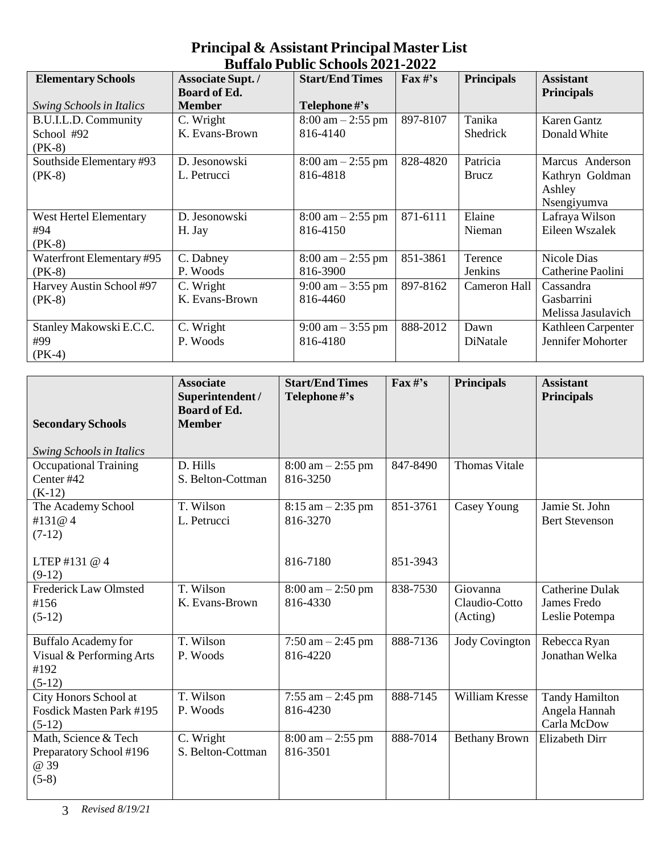| <b>Elementary Schools</b>       | <b>Associate Supt./</b> | <b>Start/End Times</b>              | $\mathbf{F}$ ax #'s | <b>Principals</b> | <b>Assistant</b>   |
|---------------------------------|-------------------------|-------------------------------------|---------------------|-------------------|--------------------|
|                                 | <b>Board of Ed.</b>     |                                     |                     |                   | <b>Principals</b>  |
| <b>Swing Schools in Italics</b> | <b>Member</b>           | Telephone #'s                       |                     |                   |                    |
|                                 |                         |                                     |                     |                   |                    |
| B.U.I.L.D. Community            | C. Wright               | $8:00 \text{ am} - 2:55 \text{ pm}$ | 897-8107            | Tanika            | <b>Karen Gantz</b> |
| School #92                      | K. Evans-Brown          | 816-4140                            |                     | Shedrick          | Donald White       |
| $(PK-8)$                        |                         |                                     |                     |                   |                    |
| Southside Elementary #93        | D. Jesonowski           | $8:00 \text{ am} - 2:55 \text{ pm}$ | 828-4820            | Patricia          | Marcus Anderson    |
| $(PK-8)$                        | L. Petrucci             | 816-4818                            |                     | Brucz             | Kathryn Goldman    |
|                                 |                         |                                     |                     |                   | Ashley             |
|                                 |                         |                                     |                     |                   | Nsengiyumva        |
| West Hertel Elementary          | D. Jesonowski           | $8:00 \text{ am} - 2:55 \text{ pm}$ | 871-6111            | Elaine            | Lafraya Wilson     |
| #94                             | H. Jay                  | 816-4150                            |                     | Nieman            | Eileen Wszalek     |
| $(PK-8)$                        |                         |                                     |                     |                   |                    |
| Waterfront Elementary #95       | C. Dabney               | $8:00 \text{ am} - 2:55 \text{ pm}$ | 851-3861            | Terence           | Nicole Dias        |
| $(PK-8)$                        | P. Woods                | 816-3900                            |                     | Jenkins           | Catherine Paolini  |
| Harvey Austin School #97        | C. Wright               | $9:00 \text{ am} - 3:55 \text{ pm}$ | 897-8162            | Cameron Hall      | Cassandra          |
| $(PK-8)$                        | K. Evans-Brown          | 816-4460                            |                     |                   | Gasbarrini         |
|                                 |                         |                                     |                     |                   | Melissa Jasulavich |
| Stanley Makowski E.C.C.         | C. Wright               | $9:00 \text{ am} - 3:55 \text{ pm}$ | 888-2012            | Dawn              | Kathleen Carpenter |
| #99                             | P. Woods                | 816-4180                            |                     | DiNatale          | Jennifer Mohorter  |
| $(PK-4)$                        |                         |                                     |                     |                   |                    |

| <b>Secondary Schools</b>                                                   | <b>Associate</b><br>Superintendent /<br><b>Board of Ed.</b><br><b>Member</b> | <b>Start/End Times</b><br>Telephone#'s          | $\Gamma$ ax#'s | <b>Principals</b>                     | <b>Assistant</b><br><b>Principals</b>                   |
|----------------------------------------------------------------------------|------------------------------------------------------------------------------|-------------------------------------------------|----------------|---------------------------------------|---------------------------------------------------------|
| <b>Swing Schools in Italics</b>                                            |                                                                              |                                                 |                |                                       |                                                         |
| <b>Occupational Training</b><br>Center #42<br>$(K-12)$                     | D. Hills<br>S. Belton-Cottman                                                | $8:00 \text{ am} - 2:55 \text{ pm}$<br>816-3250 | 847-8490       | <b>Thomas Vitale</b>                  |                                                         |
| The Academy School<br>#131@4<br>$(7-12)$                                   | T. Wilson<br>L. Petrucci                                                     | $8:15$ am $-2:35$ pm<br>816-3270                | 851-3761       | Casey Young                           | Jamie St. John<br><b>Bert Stevenson</b>                 |
| LTEP#131@4<br>$(9-12)$                                                     |                                                                              | 816-7180                                        | 851-3943       |                                       |                                                         |
| <b>Frederick Law Olmsted</b><br>#156<br>$(5-12)$                           | T. Wilson<br>K. Evans-Brown                                                  | $8:00 \text{ am} - 2:50 \text{ pm}$<br>816-4330 | 838-7530       | Giovanna<br>Claudio-Cotto<br>(Acting) | <b>Catherine Dulak</b><br>James Fredo<br>Leslie Potempa |
| <b>Buffalo Academy for</b><br>Visual & Performing Arts<br>#192<br>$(5-12)$ | T. Wilson<br>P. Woods                                                        | $7:50$ am $-2:45$ pm<br>816-4220                | 888-7136       | <b>Jody Covington</b>                 | Rebecca Ryan<br>Jonathan Welka                          |
| City Honors School at<br>Fosdick Masten Park #195<br>$(5-12)$              | T. Wilson<br>P. Woods                                                        | 7:55 am $-$ 2:45 pm<br>816-4230                 | 888-7145       | William Kresse                        | <b>Tandy Hamilton</b><br>Angela Hannah<br>Carla McDow   |
| Math, Science & Tech<br>Preparatory School #196<br>@ 39<br>$(5-8)$         | C. Wright<br>S. Belton-Cottman                                               | $8:00 \text{ am} - 2:55 \text{ pm}$<br>816-3501 | 888-7014       | <b>Bethany Brown</b>                  | Elizabeth Dirr                                          |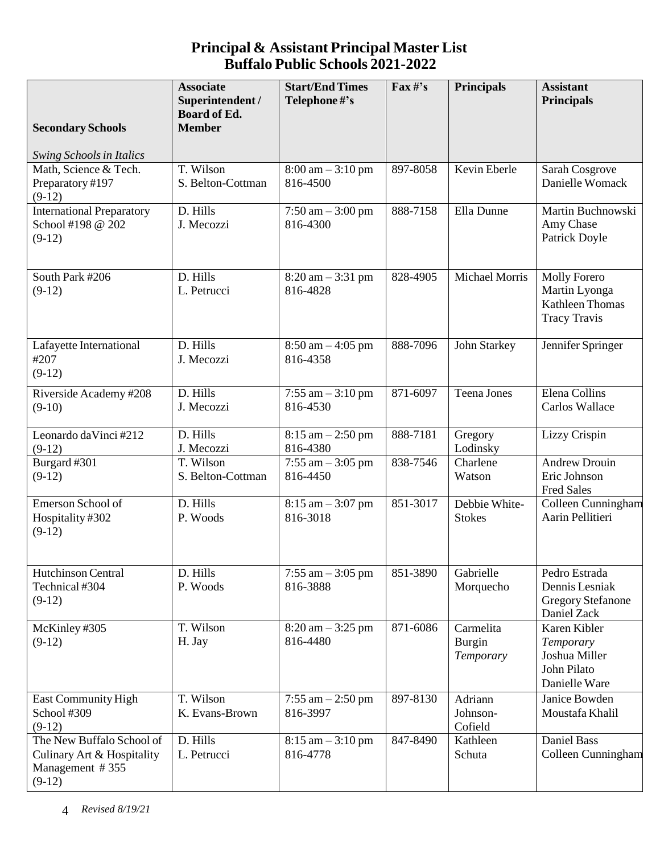| <b>Secondary Schools</b>                                                               | <b>Associate</b><br>Superintendent /<br><b>Board of Ed.</b><br><b>Member</b> | <b>Start/End Times</b><br>Telephone #'s         | $\text{Fax}\,\text{\#}^{\text{?}}\text{s}$ | <b>Principals</b>                       | <b>Assistant</b><br><b>Principals</b>                                                 |
|----------------------------------------------------------------------------------------|------------------------------------------------------------------------------|-------------------------------------------------|--------------------------------------------|-----------------------------------------|---------------------------------------------------------------------------------------|
| <b>Swing Schools in Italics</b>                                                        |                                                                              |                                                 |                                            |                                         |                                                                                       |
| Math, Science & Tech.<br>Preparatory #197<br>$(9-12)$                                  | T. Wilson<br>S. Belton-Cottman                                               | $8:00 \text{ am} - 3:10 \text{ pm}$<br>816-4500 | 897-8058                                   | Kevin Eberle                            | Sarah Cosgrove<br>Danielle Womack                                                     |
| <b>International Preparatory</b><br>School #198 @ 202<br>$(9-12)$                      | D. Hills<br>J. Mecozzi                                                       | $7:50$ am $-3:00$ pm<br>816-4300                | 888-7158                                   | Ella Dunne                              | Martin Buchnowski<br>Amy Chase<br>Patrick Doyle                                       |
| South Park #206<br>$(9-12)$                                                            | D. Hills<br>L. Petrucci                                                      | $8:20 \text{ am} - 3:31 \text{ pm}$<br>816-4828 | 828-4905                                   | Michael Morris                          | <b>Molly Forero</b><br>Martin Lyonga<br><b>Kathleen Thomas</b><br><b>Tracy Travis</b> |
| Lafayette International<br>#207<br>$(9-12)$                                            | D. Hills<br>J. Mecozzi                                                       | $8:50$ am $-4:05$ pm<br>816-4358                | 888-7096                                   | John Starkey                            | Jennifer Springer                                                                     |
| Riverside Academy #208<br>$(9-10)$                                                     | D. Hills<br>J. Mecozzi                                                       | $7:55$ am $-3:10$ pm<br>816-4530                | 871-6097                                   | <b>Teena Jones</b>                      | Elena Collins<br>Carlos Wallace                                                       |
| Leonardo da Vinci #212<br>$(9-12)$                                                     | D. Hills<br>J. Mecozzi                                                       | $8:15$ am $-2:50$ pm<br>816-4380                | 888-7181                                   | Gregory<br>Lodinsky                     | Lizzy Crispin                                                                         |
| Burgard #301<br>$(9-12)$                                                               | T. Wilson<br>S. Belton-Cottman                                               | $7:55$ am $-3:05$ pm<br>816-4450                | 838-7546                                   | Charlene<br>Watson                      | <b>Andrew Drouin</b><br>Eric Johnson<br><b>Fred Sales</b>                             |
| Emerson School of<br>Hospitality #302<br>$(9-12)$                                      | D. Hills<br>P. Woods                                                         | $8:15$ am $-3:07$ pm<br>816-3018                | 851-3017                                   | Debbie White-<br><b>Stokes</b>          | Colleen Cunningham<br>Aarin Pellitieri                                                |
| Hutchinson Central<br>Technical #304<br>$(9-12)$                                       | D. Hills<br>P. Woods                                                         | $7:55$ am $-3:05$ pm<br>816-3888                | 851-3890                                   | Gabrielle<br>Morquecho                  | Pedro Estrada<br>Dennis Lesniak<br><b>Gregory Stefanone</b><br>Daniel Zack            |
| McKinley #305<br>$(9-12)$                                                              | T. Wilson<br>H. Jay                                                          | $8:20 \text{ am} - 3:25 \text{ pm}$<br>816-4480 | 871-6086                                   | Carmelita<br><b>Burgin</b><br>Temporary | Karen Kibler<br>Temporary<br>Joshua Miller<br>John Pilato<br>Danielle Ware            |
| <b>East Community High</b><br>School #309<br>$(9-12)$                                  | T. Wilson<br>K. Evans-Brown                                                  | $7:55$ am $-2:50$ pm<br>816-3997                | 897-8130                                   | Adriann<br>Johnson-<br>Cofield          | Janice Bowden<br>Moustafa Khalil                                                      |
| The New Buffalo School of<br>Culinary Art & Hospitality<br>Management #355<br>$(9-12)$ | D. Hills<br>L. Petrucci                                                      | $8:15$ am $-3:10$ pm<br>816-4778                | 847-8490                                   | Kathleen<br>Schuta                      | <b>Daniel Bass</b><br>Colleen Cunningham                                              |